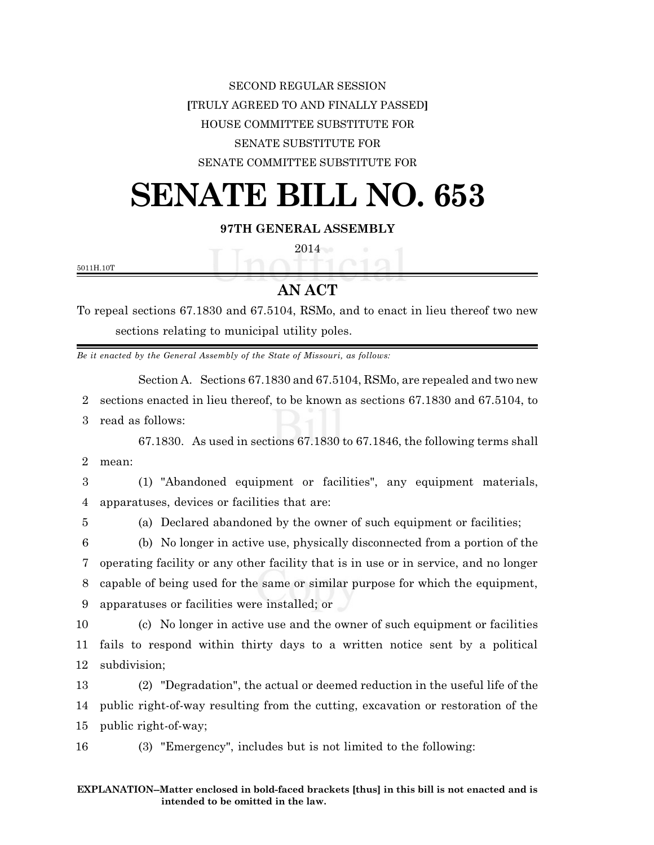SECOND REGULAR SESSION **[**TRULY AGREED TO AND FINALLY PASSED**]** HOUSE COMMITTEE SUBSTITUTE FOR SENATE SUBSTITUTE FOR SENATE COMMITTEE SUBSTITUTE FOR

## **SENATE BILL NO. 653**

## **97TH GENERAL ASSEMBLY**

2014

5011H.10T

## **AN ACT**

To repeal sections 67.1830 and 67.5104, RSMo, and to enact in lieu thereof two new sections relating to municipal utility poles.

*Be it enacted by the General Assembly of the State of Missouri, as follows:*

Section A. Sections 67.1830 and 67.5104, RSMo, are repealed and two new 2 sections enacted in lieu thereof, to be known as sections 67.1830 and 67.5104, to

3 read as follows:

67.1830. As used in sections 67.1830 to 67.1846, the following terms shall 2 mean:

3 (1) "Abandoned equipment or facilities", any equipment materials, 4 apparatuses, devices or facilities that are:

5 (a) Declared abandoned by the owner of such equipment or facilities;

 (b) No longer in active use, physically disconnected from a portion of the operating facility or any other facility that is in use or in service, and no longer capable of being used for the same or similar purpose for which the equipment, apparatuses or facilities were installed; or

10 (c) No longer in active use and the owner of such equipment or facilities 11 fails to respond within thirty days to a written notice sent by a political 12 subdivision;

13 (2) "Degradation", the actual or deemed reduction in the useful life of the 14 public right-of-way resulting from the cutting, excavation or restoration of the 15 public right-of-way;

16 (3) "Emergency", includes but is not limited to the following: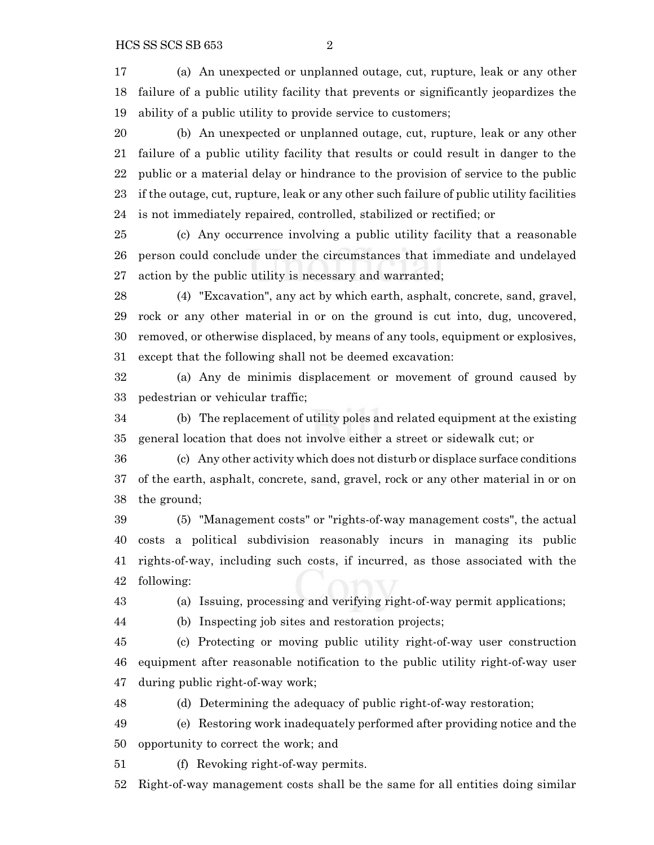(a) An unexpected or unplanned outage, cut, rupture, leak or any other failure of a public utility facility that prevents or significantly jeopardizes the ability of a public utility to provide service to customers;

 (b) An unexpected or unplanned outage, cut, rupture, leak or any other failure of a public utility facility that results or could result in danger to the public or a material delay or hindrance to the provision of service to the public if the outage, cut, rupture, leak or any other such failure of public utility facilities is not immediately repaired, controlled, stabilized or rectified; or

 (c) Any occurrence involving a public utility facility that a reasonable person could conclude under the circumstances that immediate and undelayed action by the public utility is necessary and warranted;

 (4) "Excavation", any act by which earth, asphalt, concrete, sand, gravel, rock or any other material in or on the ground is cut into, dug, uncovered, removed, or otherwise displaced, by means of any tools, equipment or explosives, except that the following shall not be deemed excavation:

 (a) Any de minimis displacement or movement of ground caused by pedestrian or vehicular traffic;

 (b) The replacement of utility poles and related equipment at the existing general location that does not involve either a street or sidewalk cut; or

 (c) Any other activity which does not disturb or displace surface conditions of the earth, asphalt, concrete, sand, gravel, rock or any other material in or on the ground;

 (5) "Management costs" or "rights-of-way management costs", the actual costs a political subdivision reasonably incurs in managing its public rights-of-way, including such costs, if incurred, as those associated with the following:

(a) Issuing, processing and verifying right-of-way permit applications;

(b) Inspecting job sites and restoration projects;

 (c) Protecting or moving public utility right-of-way user construction equipment after reasonable notification to the public utility right-of-way user during public right-of-way work;

(d) Determining the adequacy of public right-of-way restoration;

 (e) Restoring work inadequately performed after providing notice and the opportunity to correct the work; and

(f) Revoking right-of-way permits.

Right-of-way management costs shall be the same for all entities doing similar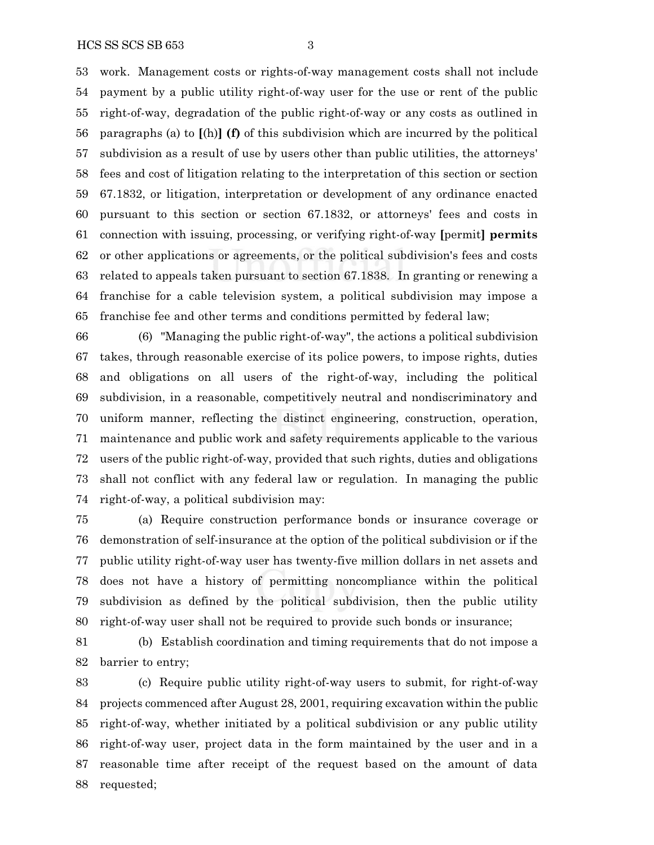work. Management costs or rights-of-way management costs shall not include payment by a public utility right-of-way user for the use or rent of the public right-of-way, degradation of the public right-of-way or any costs as outlined in paragraphs (a) to **[**(h)**] (f)** of this subdivision which are incurred by the political subdivision as a result of use by users other than public utilities, the attorneys' fees and cost of litigation relating to the interpretation of this section or section 67.1832, or litigation, interpretation or development of any ordinance enacted pursuant to this section or section 67.1832, or attorneys' fees and costs in connection with issuing, processing, or verifying right-of-way **[**permit**] permits** or other applications or agreements, or the political subdivision's fees and costs related to appeals taken pursuant to section 67.1838. In granting or renewing a franchise for a cable television system, a political subdivision may impose a franchise fee and other terms and conditions permitted by federal law;

 (6) "Managing the public right-of-way", the actions a political subdivision takes, through reasonable exercise of its police powers, to impose rights, duties and obligations on all users of the right-of-way, including the political subdivision, in a reasonable, competitively neutral and nondiscriminatory and uniform manner, reflecting the distinct engineering, construction, operation, maintenance and public work and safety requirements applicable to the various users of the public right-of-way, provided that such rights, duties and obligations shall not conflict with any federal law or regulation. In managing the public right-of-way, a political subdivision may:

 (a) Require construction performance bonds or insurance coverage or demonstration of self-insurance at the option of the political subdivision or if the public utility right-of-way user has twenty-five million dollars in net assets and does not have a history of permitting noncompliance within the political subdivision as defined by the political subdivision, then the public utility right-of-way user shall not be required to provide such bonds or insurance;

 (b) Establish coordination and timing requirements that do not impose a barrier to entry;

 (c) Require public utility right-of-way users to submit, for right-of-way projects commenced after August 28, 2001, requiring excavation within the public right-of-way, whether initiated by a political subdivision or any public utility right-of-way user, project data in the form maintained by the user and in a reasonable time after receipt of the request based on the amount of data requested;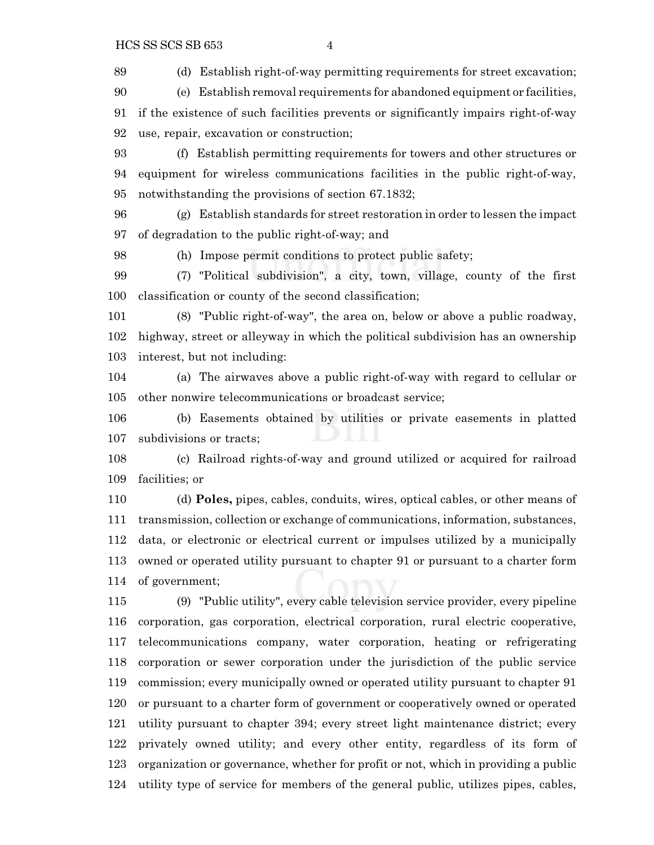(d) Establish right-of-way permitting requirements for street excavation;

 (e) Establish removal requirements for abandoned equipment or facilities, if the existence of such facilities prevents or significantly impairs right-of-way use, repair, excavation or construction;

 (f) Establish permitting requirements for towers and other structures or equipment for wireless communications facilities in the public right-of-way, notwithstanding the provisions of section 67.1832;

 (g) Establish standards for street restoration in order to lessen the impact of degradation to the public right-of-way; and

(h) Impose permit conditions to protect public safety;

 (7) "Political subdivision", a city, town, village, county of the first classification or county of the second classification;

 (8) "Public right-of-way", the area on, below or above a public roadway, highway, street or alleyway in which the political subdivision has an ownership interest, but not including:

 (a) The airwaves above a public right-of-way with regard to cellular or other nonwire telecommunications or broadcast service;

 (b) Easements obtained by utilities or private easements in platted subdivisions or tracts;

 (c) Railroad rights-of-way and ground utilized or acquired for railroad facilities; or

 (d) **Poles,** pipes, cables, conduits, wires, optical cables, or other means of transmission, collection or exchange of communications, information, substances, data, or electronic or electrical current or impulses utilized by a municipally owned or operated utility pursuant to chapter 91 or pursuant to a charter form of government;

 (9) "Public utility", every cable television service provider, every pipeline corporation, gas corporation, electrical corporation, rural electric cooperative, telecommunications company, water corporation, heating or refrigerating corporation or sewer corporation under the jurisdiction of the public service commission; every municipally owned or operated utility pursuant to chapter 91 or pursuant to a charter form of government or cooperatively owned or operated utility pursuant to chapter 394; every street light maintenance district; every privately owned utility; and every other entity, regardless of its form of organization or governance, whether for profit or not, which in providing a public utility type of service for members of the general public, utilizes pipes, cables,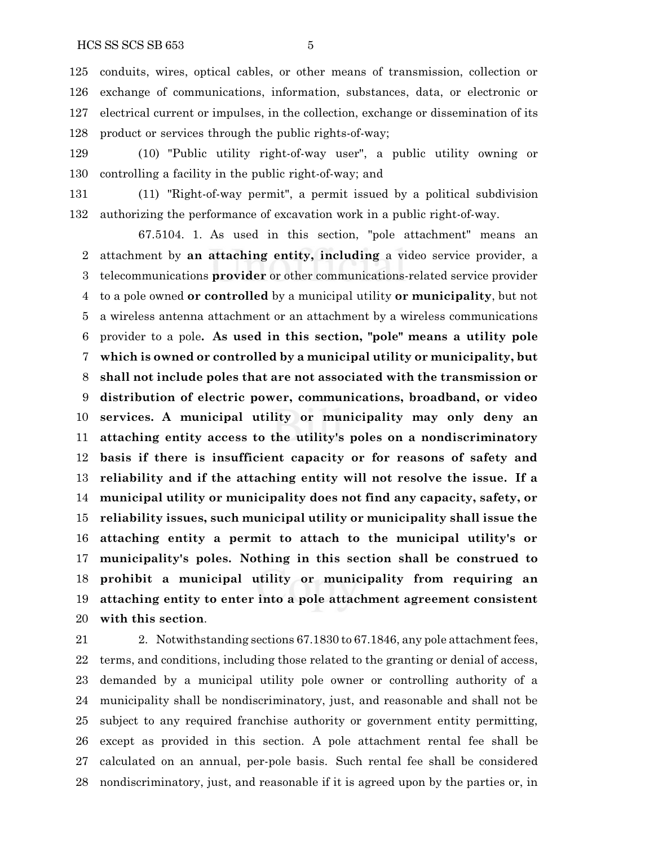conduits, wires, optical cables, or other means of transmission, collection or exchange of communications, information, substances, data, or electronic or electrical current or impulses, in the collection, exchange or dissemination of its product or services through the public rights-of-way;

 (10) "Public utility right-of-way user", a public utility owning or controlling a facility in the public right-of-way; and

 (11) "Right-of-way permit", a permit issued by a political subdivision authorizing the performance of excavation work in a public right-of-way.

67.5104. 1. As used in this section, "pole attachment" means an attachment by **an attaching entity, including** a video service provider, a telecommunications **provider** or other communications-related service provider to a pole owned **or controlled** by a municipal utility **or municipality**, but not a wireless antenna attachment or an attachment by a wireless communications provider to a pole**. As used in this section, "pole" means a utility pole which is owned or controlled by a municipal utility or municipality, but shall not include poles that are not associated with the transmission or distribution of electric power, communications, broadband, or video services. A municipal utility or municipality may only deny an attaching entity access to the utility's poles on a nondiscriminatory basis if there is insufficient capacity or for reasons of safety and reliability and if the attaching entity will not resolve the issue. If a municipal utility or municipality does not find any capacity, safety, or reliability issues, such municipal utility or municipality shall issue the attaching entity a permit to attach to the municipal utility's or municipality's poles. Nothing in this section shall be construed to prohibit a municipal utility or municipality from requiring an attaching entity to enter into a pole attachment agreement consistent with this section**.

 2. Notwithstanding sections 67.1830 to 67.1846, any pole attachment fees, terms, and conditions, including those related to the granting or denial of access, demanded by a municipal utility pole owner or controlling authority of a municipality shall be nondiscriminatory, just, and reasonable and shall not be subject to any required franchise authority or government entity permitting, except as provided in this section. A pole attachment rental fee shall be calculated on an annual, per-pole basis. Such rental fee shall be considered nondiscriminatory, just, and reasonable if it is agreed upon by the parties or, in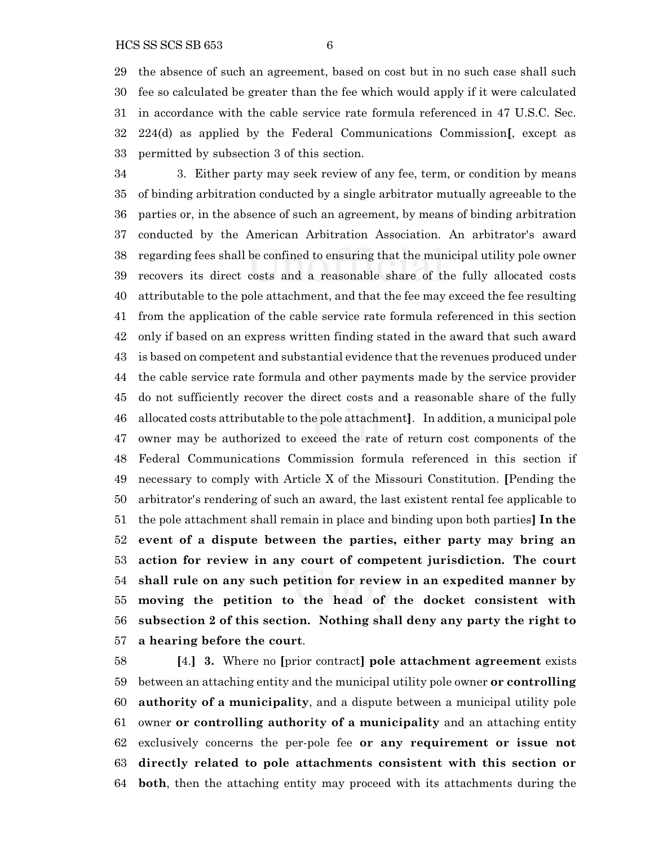the absence of such an agreement, based on cost but in no such case shall such fee so calculated be greater than the fee which would apply if it were calculated in accordance with the cable service rate formula referenced in 47 U.S.C. Sec. 224(d) as applied by the Federal Communications Commission**[**, except as permitted by subsection 3 of this section.

 3. Either party may seek review of any fee, term, or condition by means of binding arbitration conducted by a single arbitrator mutually agreeable to the parties or, in the absence of such an agreement, by means of binding arbitration conducted by the American Arbitration Association. An arbitrator's award regarding fees shall be confined to ensuring that the municipal utility pole owner recovers its direct costs and a reasonable share of the fully allocated costs attributable to the pole attachment, and that the fee may exceed the fee resulting from the application of the cable service rate formula referenced in this section only if based on an express written finding stated in the award that such award is based on competent and substantial evidence that the revenues produced under the cable service rate formula and other payments made by the service provider do not sufficiently recover the direct costs and a reasonable share of the fully allocated costs attributable to the pole attachment**]**. In addition, a municipal pole owner may be authorized to exceed the rate of return cost components of the Federal Communications Commission formula referenced in this section if necessary to comply with Article X of the Missouri Constitution. **[**Pending the arbitrator's rendering of such an award, the last existent rental fee applicable to the pole attachment shall remain in place and binding upon both parties**] In the event of a dispute between the parties, either party may bring an action for review in any court of competent jurisdiction. The court shall rule on any such petition for review in an expedited manner by moving the petition to the head of the docket consistent with subsection 2 of this section. Nothing shall deny any party the right to a hearing before the court**.

 **[**4.**] 3.** Where no **[**prior contract**] pole attachment agreement** exists between an attaching entity and the municipal utility pole owner **or controlling authority of a municipality**, and a dispute between a municipal utility pole owner **or controlling authority of a municipality** and an attaching entity exclusively concerns the per-pole fee **or any requirement or issue not directly related to pole attachments consistent with this section or both**, then the attaching entity may proceed with its attachments during the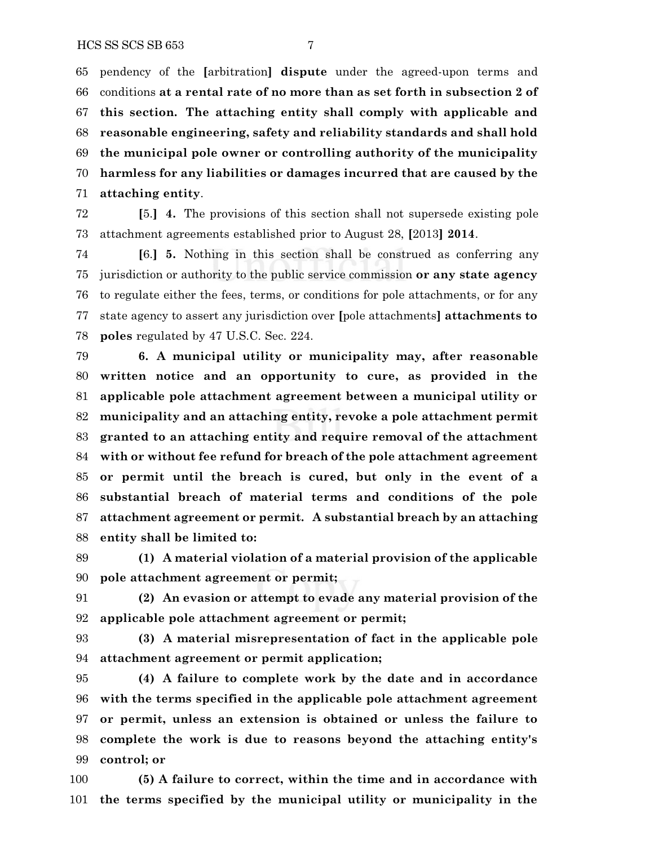pendency of the **[**arbitration**] dispute** under the agreed-upon terms and conditions **at a rental rate of no more than as set forth in subsection 2 of this section. The attaching entity shall comply with applicable and reasonable engineering, safety and reliability standards and shall hold the municipal pole owner or controlling authority of the municipality harmless for any liabilities or damages incurred that are caused by the attaching entity**.

 **[**5.**] 4.** The provisions of this section shall not supersede existing pole attachment agreements established prior to August 28, **[**2013**] 2014**.

 **[**6.**] 5.** Nothing in this section shall be construed as conferring any jurisdiction or authority to the public service commission **or any state agency** to regulate either the fees, terms, or conditions for pole attachments, or for any state agency to assert any jurisdiction over **[**pole attachments**] attachments to poles** regulated by 47 U.S.C. Sec. 224.

 **6. A municipal utility or municipality may, after reasonable written notice and an opportunity to cure, as provided in the applicable pole attachment agreement between a municipal utility or municipality and an attaching entity, revoke a pole attachment permit granted to an attaching entity and require removal of the attachment with or without fee refund for breach of the pole attachment agreement or permit until the breach is cured, but only in the event of a substantial breach of material terms and conditions of the pole attachment agreement or permit. A substantial breach by an attaching entity shall be limited to:**

 **(1) A material violation of a material provision of the applicable pole attachment agreement or permit;**

 **(2) An evasion or attempt to evade any material provision of the applicable pole attachment agreement or permit;**

 **(3) A material misrepresentation of fact in the applicable pole attachment agreement or permit application;**

 **(4) A failure to complete work by the date and in accordance with the terms specified in the applicable pole attachment agreement or permit, unless an extension is obtained or unless the failure to complete the work is due to reasons beyond the attaching entity's control; or**

 **(5) A failure to correct, within the time and in accordance with the terms specified by the municipal utility or municipality in the**